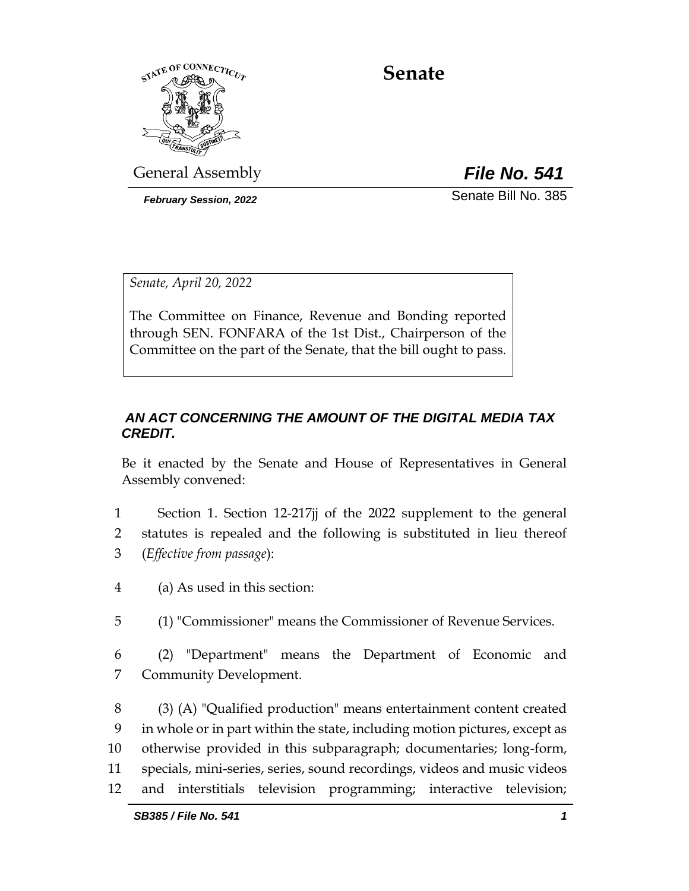

# **Senate**

General Assembly *File No. 541*

*February Session, 2022* Senate Bill No. 385

*Senate, April 20, 2022*

The Committee on Finance, Revenue and Bonding reported through SEN. FONFARA of the 1st Dist., Chairperson of the Committee on the part of the Senate, that the bill ought to pass.

## *AN ACT CONCERNING THE AMOUNT OF THE DIGITAL MEDIA TAX CREDIT.*

Be it enacted by the Senate and House of Representatives in General Assembly convened:

- 1 Section 1. Section 12-217jj of the 2022 supplement to the general 2 statutes is repealed and the following is substituted in lieu thereof 3 (*Effective from passage*):
- 4 (a) As used in this section:
- 5 (1) "Commissioner" means the Commissioner of Revenue Services.
- 6 (2) "Department" means the Department of Economic and 7 Community Development.
- 8 (3) (A) "Qualified production" means entertainment content created 9 in whole or in part within the state, including motion pictures, except as 10 otherwise provided in this subparagraph; documentaries; long-form, 11 specials, mini-series, series, sound recordings, videos and music videos 12 and interstitials television programming; interactive television;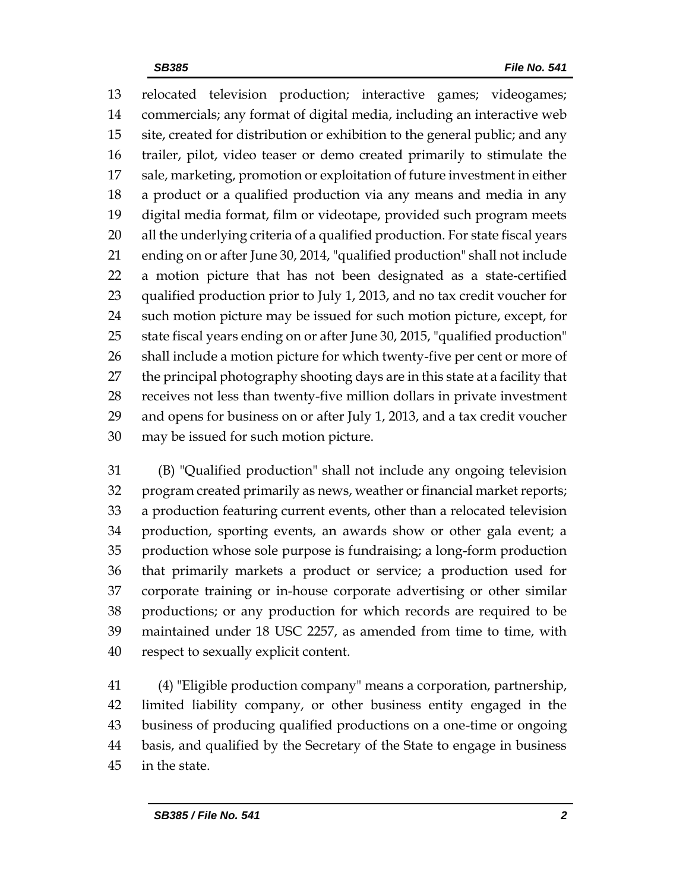relocated television production; interactive games; videogames; commercials; any format of digital media, including an interactive web site, created for distribution or exhibition to the general public; and any trailer, pilot, video teaser or demo created primarily to stimulate the sale, marketing, promotion or exploitation of future investment in either a product or a qualified production via any means and media in any digital media format, film or videotape, provided such program meets all the underlying criteria of a qualified production. For state fiscal years ending on or after June 30, 2014, "qualified production" shall not include a motion picture that has not been designated as a state-certified qualified production prior to July 1, 2013, and no tax credit voucher for such motion picture may be issued for such motion picture, except, for state fiscal years ending on or after June 30, 2015, "qualified production" shall include a motion picture for which twenty-five per cent or more of the principal photography shooting days are in this state at a facility that receives not less than twenty-five million dollars in private investment and opens for business on or after July 1, 2013, and a tax credit voucher may be issued for such motion picture.

 (B) "Qualified production" shall not include any ongoing television program created primarily as news, weather or financial market reports; a production featuring current events, other than a relocated television production, sporting events, an awards show or other gala event; a production whose sole purpose is fundraising; a long-form production that primarily markets a product or service; a production used for corporate training or in-house corporate advertising or other similar productions; or any production for which records are required to be maintained under 18 USC 2257, as amended from time to time, with respect to sexually explicit content.

 (4) "Eligible production company" means a corporation, partnership, limited liability company, or other business entity engaged in the business of producing qualified productions on a one-time or ongoing basis, and qualified by the Secretary of the State to engage in business in the state.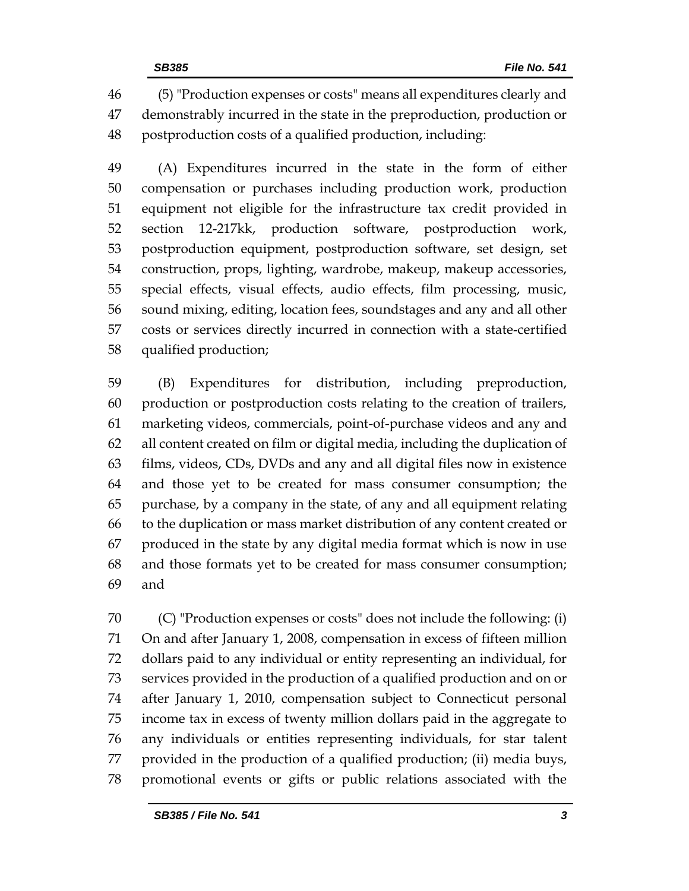(5) "Production expenses or costs" means all expenditures clearly and demonstrably incurred in the state in the preproduction, production or postproduction costs of a qualified production, including:

 (A) Expenditures incurred in the state in the form of either compensation or purchases including production work, production equipment not eligible for the infrastructure tax credit provided in section 12-217kk, production software, postproduction work, postproduction equipment, postproduction software, set design, set construction, props, lighting, wardrobe, makeup, makeup accessories, special effects, visual effects, audio effects, film processing, music, sound mixing, editing, location fees, soundstages and any and all other costs or services directly incurred in connection with a state-certified qualified production;

 (B) Expenditures for distribution, including preproduction, production or postproduction costs relating to the creation of trailers, marketing videos, commercials, point-of-purchase videos and any and all content created on film or digital media, including the duplication of films, videos, CDs, DVDs and any and all digital files now in existence and those yet to be created for mass consumer consumption; the purchase, by a company in the state, of any and all equipment relating to the duplication or mass market distribution of any content created or produced in the state by any digital media format which is now in use and those formats yet to be created for mass consumer consumption; and

 (C) "Production expenses or costs" does not include the following: (i) On and after January 1, 2008, compensation in excess of fifteen million dollars paid to any individual or entity representing an individual, for services provided in the production of a qualified production and on or after January 1, 2010, compensation subject to Connecticut personal income tax in excess of twenty million dollars paid in the aggregate to any individuals or entities representing individuals, for star talent provided in the production of a qualified production; (ii) media buys, promotional events or gifts or public relations associated with the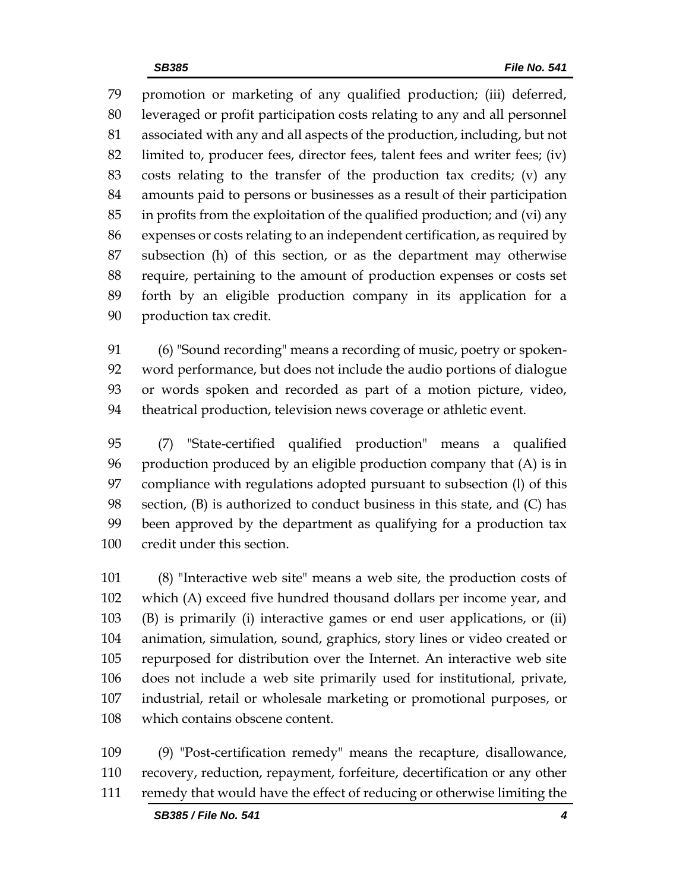promotion or marketing of any qualified production; (iii) deferred, leveraged or profit participation costs relating to any and all personnel associated with any and all aspects of the production, including, but not limited to, producer fees, director fees, talent fees and writer fees; (iv) costs relating to the transfer of the production tax credits; (v) any amounts paid to persons or businesses as a result of their participation in profits from the exploitation of the qualified production; and (vi) any expenses or costs relating to an independent certification, as required by subsection (h) of this section, or as the department may otherwise require, pertaining to the amount of production expenses or costs set forth by an eligible production company in its application for a production tax credit.

 (6) "Sound recording" means a recording of music, poetry or spoken- word performance, but does not include the audio portions of dialogue or words spoken and recorded as part of a motion picture, video, theatrical production, television news coverage or athletic event.

 (7) "State-certified qualified production" means a qualified production produced by an eligible production company that (A) is in compliance with regulations adopted pursuant to subsection (l) of this section, (B) is authorized to conduct business in this state, and (C) has been approved by the department as qualifying for a production tax credit under this section.

 (8) "Interactive web site" means a web site, the production costs of which (A) exceed five hundred thousand dollars per income year, and (B) is primarily (i) interactive games or end user applications, or (ii) animation, simulation, sound, graphics, story lines or video created or repurposed for distribution over the Internet. An interactive web site does not include a web site primarily used for institutional, private, industrial, retail or wholesale marketing or promotional purposes, or which contains obscene content.

 (9) "Post-certification remedy" means the recapture, disallowance, recovery, reduction, repayment, forfeiture, decertification or any other remedy that would have the effect of reducing or otherwise limiting the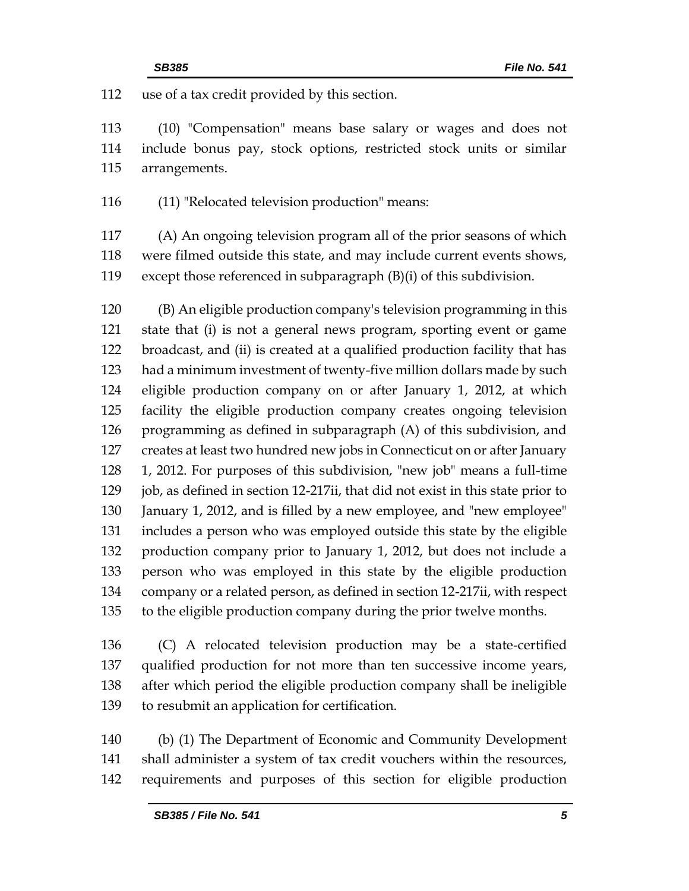use of a tax credit provided by this section.

 (10) "Compensation" means base salary or wages and does not include bonus pay, stock options, restricted stock units or similar arrangements.

(11) "Relocated television production" means:

 (A) An ongoing television program all of the prior seasons of which were filmed outside this state, and may include current events shows, except those referenced in subparagraph (B)(i) of this subdivision.

 (B) An eligible production company's television programming in this state that (i) is not a general news program, sporting event or game broadcast, and (ii) is created at a qualified production facility that has had a minimum investment of twenty-five million dollars made by such eligible production company on or after January 1, 2012, at which facility the eligible production company creates ongoing television programming as defined in subparagraph (A) of this subdivision, and creates at least two hundred new jobs in Connecticut on or after January 1, 2012. For purposes of this subdivision, "new job" means a full-time 129 job, as defined in section 12-217ii, that did not exist in this state prior to January 1, 2012, and is filled by a new employee, and "new employee" includes a person who was employed outside this state by the eligible production company prior to January 1, 2012, but does not include a person who was employed in this state by the eligible production company or a related person, as defined in section 12-217ii, with respect to the eligible production company during the prior twelve months.

 (C) A relocated television production may be a state-certified qualified production for not more than ten successive income years, after which period the eligible production company shall be ineligible to resubmit an application for certification.

 (b) (1) The Department of Economic and Community Development shall administer a system of tax credit vouchers within the resources, requirements and purposes of this section for eligible production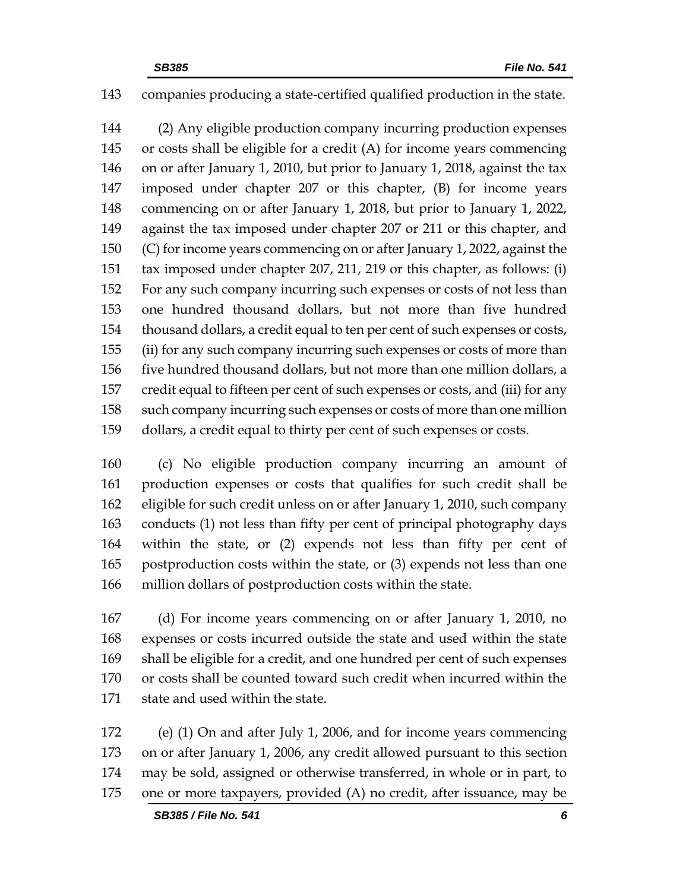## companies producing a state-certified qualified production in the state.

 (2) Any eligible production company incurring production expenses or costs shall be eligible for a credit (A) for income years commencing on or after January 1, 2010, but prior to January 1, 2018, against the tax imposed under chapter 207 or this chapter, (B) for income years commencing on or after January 1, 2018, but prior to January 1, 2022, against the tax imposed under chapter 207 or 211 or this chapter, and (C) for income years commencing on or after January 1, 2022, against the tax imposed under chapter 207, 211, 219 or this chapter, as follows: (i) For any such company incurring such expenses or costs of not less than one hundred thousand dollars, but not more than five hundred thousand dollars, a credit equal to ten per cent of such expenses or costs, (ii) for any such company incurring such expenses or costs of more than five hundred thousand dollars, but not more than one million dollars, a credit equal to fifteen per cent of such expenses or costs, and (iii) for any such company incurring such expenses or costs of more than one million dollars, a credit equal to thirty per cent of such expenses or costs.

 (c) No eligible production company incurring an amount of production expenses or costs that qualifies for such credit shall be eligible for such credit unless on or after January 1, 2010, such company conducts (1) not less than fifty per cent of principal photography days within the state, or (2) expends not less than fifty per cent of postproduction costs within the state, or (3) expends not less than one million dollars of postproduction costs within the state.

 (d) For income years commencing on or after January 1, 2010, no expenses or costs incurred outside the state and used within the state shall be eligible for a credit, and one hundred per cent of such expenses or costs shall be counted toward such credit when incurred within the state and used within the state.

 (e) (1) On and after July 1, 2006, and for income years commencing on or after January 1, 2006, any credit allowed pursuant to this section may be sold, assigned or otherwise transferred, in whole or in part, to one or more taxpayers, provided (A) no credit, after issuance, may be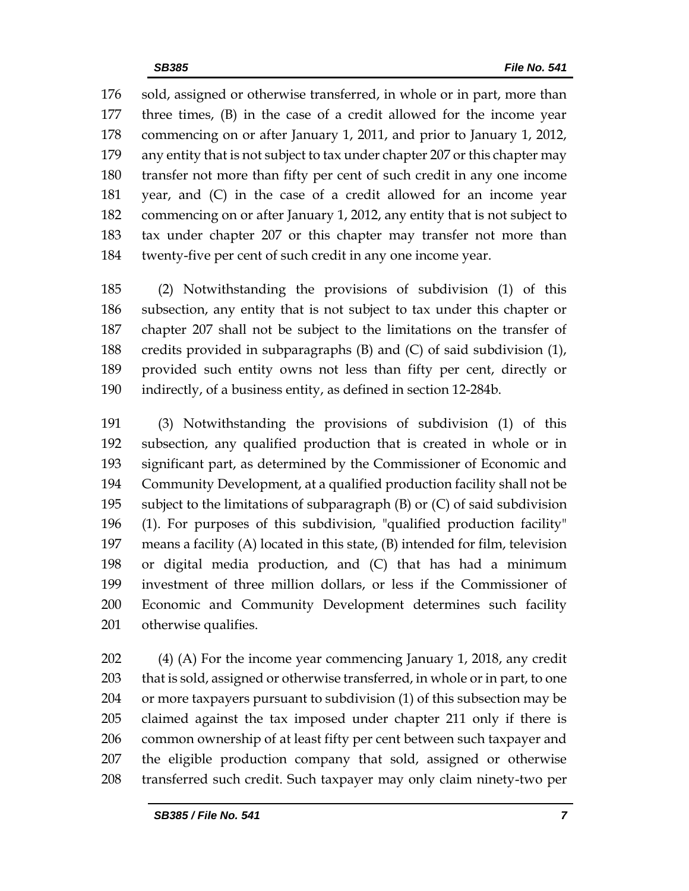sold, assigned or otherwise transferred, in whole or in part, more than three times, (B) in the case of a credit allowed for the income year commencing on or after January 1, 2011, and prior to January 1, 2012, any entity that is not subject to tax under chapter 207 or this chapter may transfer not more than fifty per cent of such credit in any one income year, and (C) in the case of a credit allowed for an income year commencing on or after January 1, 2012, any entity that is not subject to tax under chapter 207 or this chapter may transfer not more than twenty-five per cent of such credit in any one income year.

 (2) Notwithstanding the provisions of subdivision (1) of this subsection, any entity that is not subject to tax under this chapter or chapter 207 shall not be subject to the limitations on the transfer of credits provided in subparagraphs (B) and (C) of said subdivision (1), provided such entity owns not less than fifty per cent, directly or indirectly, of a business entity, as defined in section 12-284b.

 (3) Notwithstanding the provisions of subdivision (1) of this subsection, any qualified production that is created in whole or in significant part, as determined by the Commissioner of Economic and Community Development, at a qualified production facility shall not be subject to the limitations of subparagraph (B) or (C) of said subdivision (1). For purposes of this subdivision, "qualified production facility" means a facility (A) located in this state, (B) intended for film, television or digital media production, and (C) that has had a minimum investment of three million dollars, or less if the Commissioner of Economic and Community Development determines such facility otherwise qualifies.

 (4) (A) For the income year commencing January 1, 2018, any credit that is sold, assigned or otherwise transferred, in whole or in part, to one or more taxpayers pursuant to subdivision (1) of this subsection may be claimed against the tax imposed under chapter 211 only if there is common ownership of at least fifty per cent between such taxpayer and the eligible production company that sold, assigned or otherwise transferred such credit. Such taxpayer may only claim ninety-two per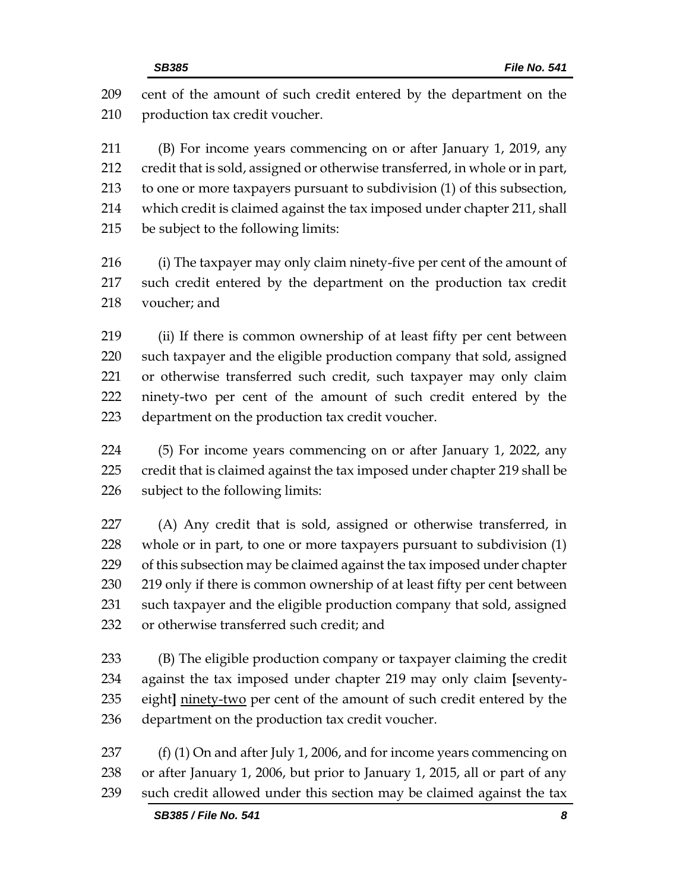| 209 | cent of the amount of such credit entered by the department on the           |
|-----|------------------------------------------------------------------------------|
| 210 | production tax credit voucher.                                               |
| 211 | (B) For income years commencing on or after January 1, 2019, any             |
| 212 | credit that is sold, assigned or otherwise transferred, in whole or in part, |
| 213 | to one or more taxpayers pursuant to subdivision (1) of this subsection,     |
| 214 | which credit is claimed against the tax imposed under chapter 211, shall     |
| 215 | be subject to the following limits:                                          |
| 216 | (i) The taxpayer may only claim ninety-five per cent of the amount of        |
| 217 | such credit entered by the department on the production tax credit           |
| 218 | voucher; and                                                                 |
| 219 | (ii) If there is common ownership of at least fifty per cent between         |
| 220 | such taxpayer and the eligible production company that sold, assigned        |
| 221 | or otherwise transferred such credit, such taxpayer may only claim           |
| 222 | ninety-two per cent of the amount of such credit entered by the              |
| 223 | department on the production tax credit voucher.                             |
| 224 | (5) For income years commencing on or after January 1, 2022, any             |
| 225 | credit that is claimed against the tax imposed under chapter 219 shall be    |
| 226 | subject to the following limits:                                             |
| 227 | (A) Any credit that is sold, assigned or otherwise transferred, in           |
| 228 | whole or in part, to one or more taxpayers pursuant to subdivision (1)       |
| 229 | of this subsection may be claimed against the tax imposed under chapter      |
| 230 | 219 only if there is common ownership of at least fifty per cent between     |
| 231 | such taxpayer and the eligible production company that sold, assigned        |
| 232 | or otherwise transferred such credit; and                                    |
| 233 | (B) The eligible production company or taxpayer claiming the credit          |
| 234 | against the tax imposed under chapter 219 may only claim [seventy-           |
| 235 | eight] ninety-two per cent of the amount of such credit entered by the       |
| 236 | department on the production tax credit voucher.                             |
| 237 | $(f)$ (1) On and after July 1, 2006, and for income years commencing on      |
| 238 | or after January 1, 2006, but prior to January 1, 2015, all or part of any   |

such credit allowed under this section may be claimed against the tax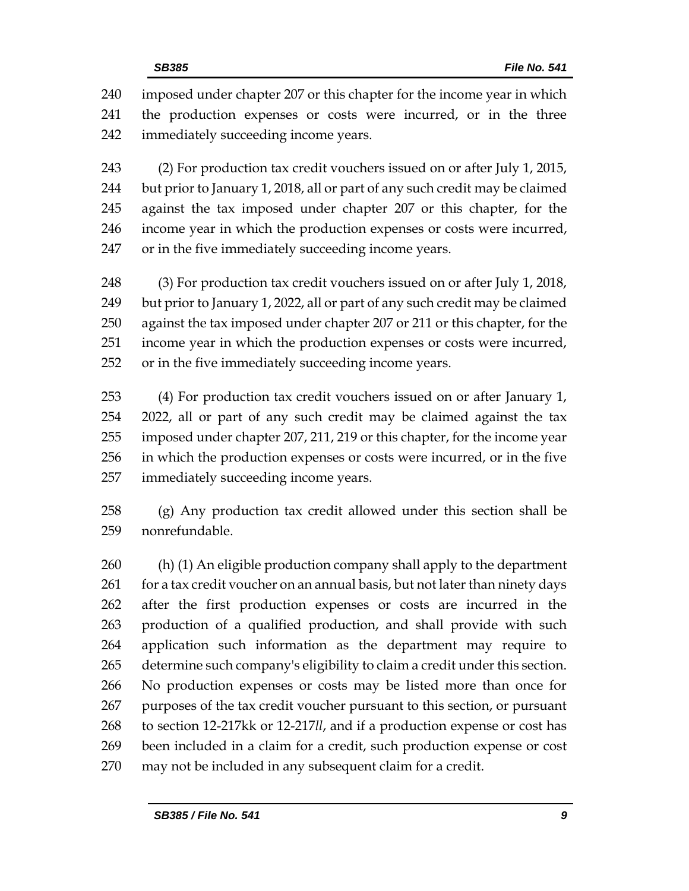imposed under chapter 207 or this chapter for the income year in which the production expenses or costs were incurred, or in the three immediately succeeding income years.

 (2) For production tax credit vouchers issued on or after July 1, 2015, but prior to January 1, 2018, all or part of any such credit may be claimed against the tax imposed under chapter 207 or this chapter, for the income year in which the production expenses or costs were incurred, or in the five immediately succeeding income years.

 (3) For production tax credit vouchers issued on or after July 1, 2018, but prior to January 1, 2022, all or part of any such credit may be claimed against the tax imposed under chapter 207 or 211 or this chapter, for the income year in which the production expenses or costs were incurred, or in the five immediately succeeding income years.

 (4) For production tax credit vouchers issued on or after January 1, 2022, all or part of any such credit may be claimed against the tax imposed under chapter 207, 211, 219 or this chapter, for the income year in which the production expenses or costs were incurred, or in the five immediately succeeding income years.

 (g) Any production tax credit allowed under this section shall be nonrefundable.

 (h) (1) An eligible production company shall apply to the department 261 for a tax credit voucher on an annual basis, but not later than ninety days after the first production expenses or costs are incurred in the production of a qualified production, and shall provide with such application such information as the department may require to determine such company's eligibility to claim a credit under this section. No production expenses or costs may be listed more than once for purposes of the tax credit voucher pursuant to this section, or pursuant to section 12-217kk or 12-217*ll*, and if a production expense or cost has been included in a claim for a credit, such production expense or cost may not be included in any subsequent claim for a credit.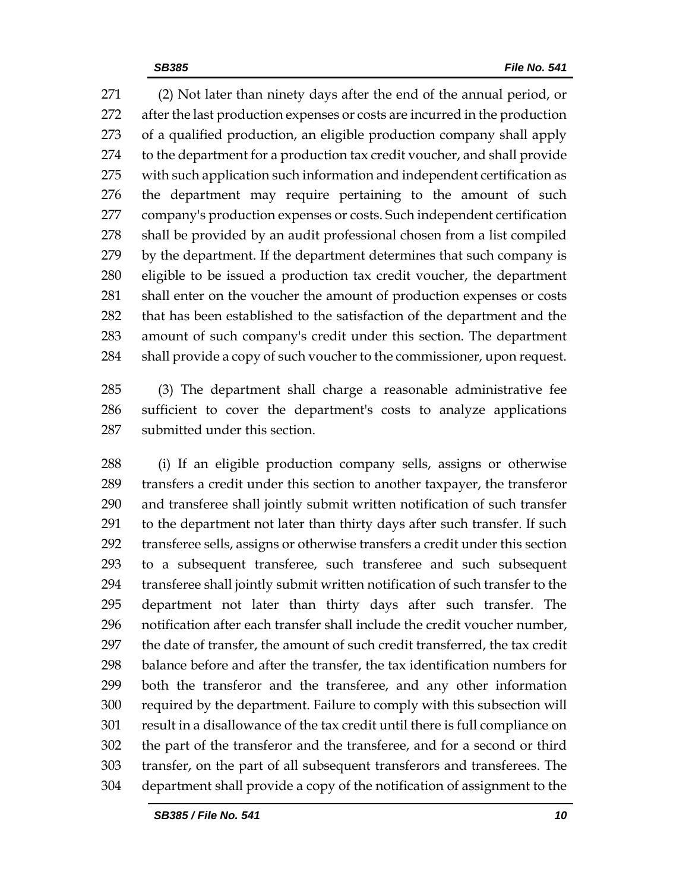(2) Not later than ninety days after the end of the annual period, or after the last production expenses or costs are incurred in the production of a qualified production, an eligible production company shall apply to the department for a production tax credit voucher, and shall provide with such application such information and independent certification as the department may require pertaining to the amount of such company's production expenses or costs. Such independent certification shall be provided by an audit professional chosen from a list compiled by the department. If the department determines that such company is eligible to be issued a production tax credit voucher, the department shall enter on the voucher the amount of production expenses or costs that has been established to the satisfaction of the department and the amount of such company's credit under this section. The department 284 shall provide a copy of such voucher to the commissioner, upon request.

 (3) The department shall charge a reasonable administrative fee sufficient to cover the department's costs to analyze applications submitted under this section.

 (i) If an eligible production company sells, assigns or otherwise transfers a credit under this section to another taxpayer, the transferor and transferee shall jointly submit written notification of such transfer to the department not later than thirty days after such transfer. If such transferee sells, assigns or otherwise transfers a credit under this section to a subsequent transferee, such transferee and such subsequent transferee shall jointly submit written notification of such transfer to the department not later than thirty days after such transfer. The notification after each transfer shall include the credit voucher number, the date of transfer, the amount of such credit transferred, the tax credit balance before and after the transfer, the tax identification numbers for both the transferor and the transferee, and any other information required by the department. Failure to comply with this subsection will result in a disallowance of the tax credit until there is full compliance on the part of the transferor and the transferee, and for a second or third transfer, on the part of all subsequent transferors and transferees. The department shall provide a copy of the notification of assignment to the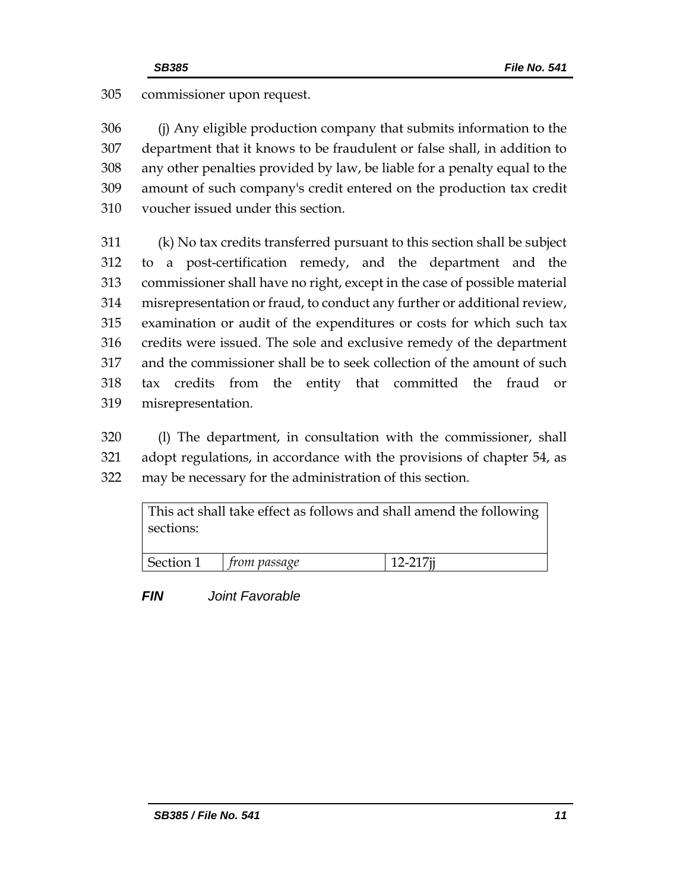## commissioner upon request.

 (j) Any eligible production company that submits information to the department that it knows to be fraudulent or false shall, in addition to any other penalties provided by law, be liable for a penalty equal to the amount of such company's credit entered on the production tax credit voucher issued under this section.

 (k) No tax credits transferred pursuant to this section shall be subject to a post-certification remedy, and the department and the commissioner shall have no right, except in the case of possible material misrepresentation or fraud, to conduct any further or additional review, examination or audit of the expenditures or costs for which such tax credits were issued. The sole and exclusive remedy of the department and the commissioner shall be to seek collection of the amount of such tax credits from the entity that committed the fraud or misrepresentation.

 (l) The department, in consultation with the commissioner, shall adopt regulations, in accordance with the provisions of chapter 54, as may be necessary for the administration of this section.

| sections: |                          | This act shall take effect as follows and shall amend the following |  |
|-----------|--------------------------|---------------------------------------------------------------------|--|
|           | Section 1   from passage | $12 - 217i$                                                         |  |

*FIN Joint Favorable*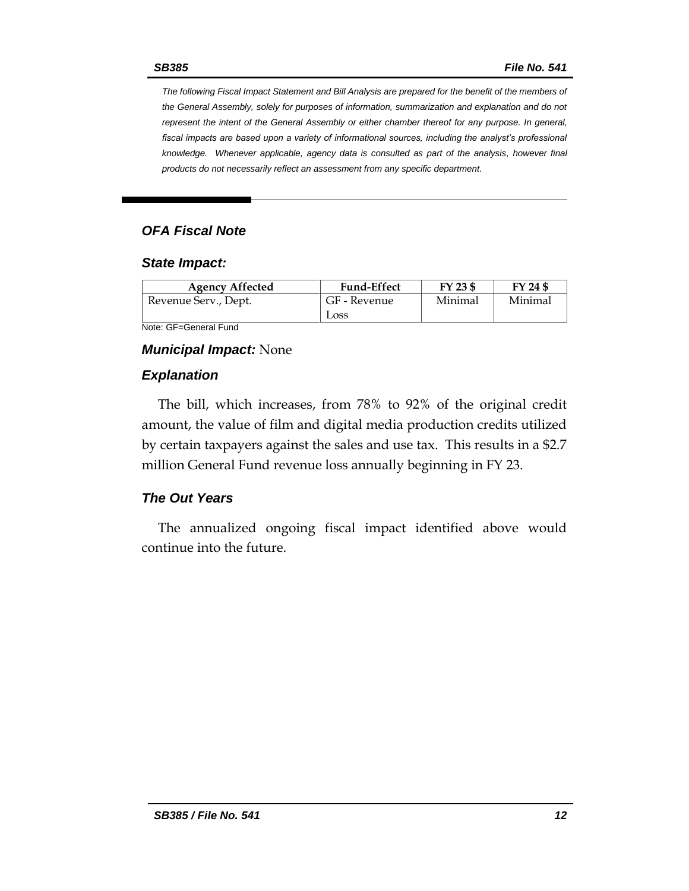*The following Fiscal Impact Statement and Bill Analysis are prepared for the benefit of the members of the General Assembly, solely for purposes of information, summarization and explanation and do not represent the intent of the General Assembly or either chamber thereof for any purpose. In general,*  fiscal impacts are based upon a variety of informational sources, including the analyst's professional *knowledge. Whenever applicable, agency data is consulted as part of the analysis, however final products do not necessarily reflect an assessment from any specific department.*

## *OFA Fiscal Note*

#### *State Impact:*

| <b>Agency Affected</b> | <b>Fund-Effect</b> | FY 23 \$ | FY 24 \$ |
|------------------------|--------------------|----------|----------|
| Revenue Serv., Dept.   | GF - Revenue       | Minimal  | Minimal  |
|                        | Loss               |          |          |

Note: GF=General Fund

### *Municipal Impact:* None

### *Explanation*

The bill, which increases, from 78% to 92% of the original credit amount, the value of film and digital media production credits utilized by certain taxpayers against the sales and use tax. This results in a \$2.7 million General Fund revenue loss annually beginning in FY 23.

## *The Out Years*

The annualized ongoing fiscal impact identified above would continue into the future.